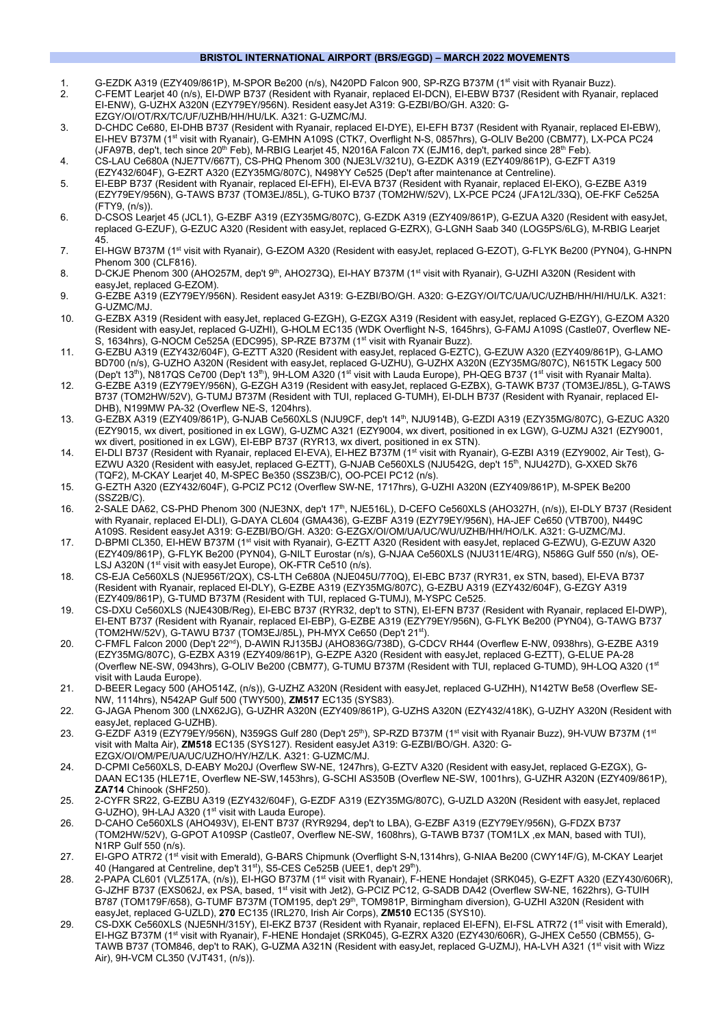### **BRISTOL INTERNATIONAL AIRPORT (BRS/EGGD) – MARCH 2022 MOVEMENTS**

- 1. G-EZDK A319 (EZY409/861P), M-SPOR Be200 (n/s), N420PD Falcon 900, SP-RZG B737M (1st visit with Ryanair Buzz).
- 2. C-FEMT Learjet 40 (n/s), EI-DWP B737 (Resident with Ryanair, replaced EI-DCN), EI-EBW B737 (Resident with Ryanair, replaced EI-ENW), G-UZHX A320N (EZY79EY/956N). Resident easyJet A319: G-EZBI/BO/GH. A320: G-EZGY/OI/OT/RX/TC/UF/UZHB/HH/HU/LK. A321: G-UZMC/MJ.
- 3. D-CHDC Ce680, EI-DHB B737 (Resident with Ryanair, replaced EI-DYE), EI-EFH B737 (Resident with Ryanair, replaced EI-EBW), EI-HEV B737M (1st visit with Ryanair), G-EMHN A109S (CTK7, Overflight N-S, 0857hrs), G-OLIV Be200 (CBM77), LX-PCA PC24 (JFA97B, dep't, tech since 20<sup>th</sup> Feb), M-RBIG Learjet 45, N2016A Falcon 7X (EJM16, dep't, parked since 28<sup>th</sup> Feb).
- 4. CS-LAU Ce680A (NJE7TV/667T), CS-PHQ Phenom 300 (NJE3LV/321U), G-EZDK A319 (EZY409/861P), G-EZFT A319 (EZY432/604F), G-EZRT A320 (EZY35MG/807C), N498YY Ce525 (Dep't after maintenance at Centreline).
- 5. EI-EBP B737 (Resident with Ryanair, replaced EI-EFH), EI-EVA B737 (Resident with Ryanair, replaced EI-EKO), G-EZBE A319 (EZY79EY/956N), G-TAWS B737 (TOM3EJ/85L), G-TUKO B737 (TOM2HW/52V), LX-PCE PC24 (JFA12L/33Q), OE-FKF Ce525A  $(FTY9 (n/s))$
- 6. D-CSOS Learjet 45 (JCL1), G-EZBF A319 (EZY35MG/807C), G-EZDK A319 (EZY409/861P), G-EZUA A320 (Resident with easyJet, replaced G-EZUF), G-EZUC A320 (Resident with easyJet, replaced G-EZRX), G-LGNH Saab 340 (LOG5PS/6LG), M-RBIG Learjet 45.
- 7. EI-HGW B737M (1st visit with Ryanair), G-EZOM A320 (Resident with easyJet, replaced G-EZOT), G-FLYK Be200 (PYN04), G-HNPN Phenom 300 (CLF816).
- 8. D-CKJE Phenom 300 (AHO257M, dep't 9<sup>th</sup>, AHO273Q), EI-HAY B737M (1<sup>st</sup> visit with Ryanair), G-UZHI A320N (Resident with easyJet, replaced G-EZOM).
- 9. G-EZBE A319 (EZY79EY/956N). Resident easyJet A319: G-EZBI/BO/GH. A320: G-EZGY/OI/TC/UA/UC/UZHB/HH/HI/HU/LK. A321: G-UZMC/MJ.
- 10. G-EZBX A319 (Resident with easyJet, replaced G-EZGH), G-EZGX A319 (Resident with easyJet, replaced G-EZGY), G-EZOM A320 (Resident with easyJet, replaced G-UZHI), G-HOLM EC135 (WDK Overflight N-S, 1645hrs), G-FAMJ A109S (Castle07, Overflew NE-S, 1634hrs), G-NOCM Ce525A (EDC995), SP-RZE B737M (1<sup>st</sup> visit with Ryanair Buzz).
- 11. G-EZBU A319 (EZY432/604F), G-EZTT A320 (Resident with easyJet, replaced G-EZTC), G-EZUW A320 (EZY409/861P), G-LAMO BD700 (n/s), G-UZHO A320N (Resident with easyJet, replaced G-UZHU), G-UZHX A320N (EZY35MG/807C), N615TK Legacy 500 (Dep't 13th), N817QS Ce700 (Dep't 13th), 9H-LOM A320 (1st visit with Lauda Europe), PH-QEG B737 (1st visit with Ryanair Malta).
- 12. G-EZBE A319 (EZY79EY/956N), G-EZGH A319 (Resident with easyJet, replaced G-EZBX), G-TAWK B737 (TOM3EJ/85L), G-TAWS B737 (TOM2HW/52V), G-TUMJ B737M (Resident with TUI, replaced G-TUMH), EI-DLH B737 (Resident with Ryanair, replaced EI-DHB), N199MW PA-32 (Overflew NE-S, 1204hrs).
- 13. G-EZBX A319 (EZY409/861P), G-NJAB Ce560XLS (NJU9CF, dep't 14th, NJU914B), G-EZDI A319 (EZY35MG/807C), G-EZUC A320 (EZY9015, wx divert, positioned in ex LGW), G-UZMC A321 (EZY9004, wx divert, positioned in ex LGW), G-UZMJ A321 (EZY9001, wx divert, positioned in ex LGW), EI-EBP B737 (RYR13, wx divert, positioned in ex STN).
- 14. EI-DLI B737 (Resident with Ryanair, replaced EI-EVA), EI-HEZ B737M (1<sup>st</sup> visit with Ryanair), G-EZBI A319 (EZY9002, Air Test), G-EZWU A320 (Resident with easyJet, replaced G-EZTT), G-NJAB Ce560XLS (NJU542G, dep't 15<sup>th</sup>, NJU427D), G-XXED Sk76 (TQF2), M-CKAY Learjet 40, M-SPEC Be350 (SSZ3B/C), OO-PCEI PC12 (n/s).
- 15. G-EZTH A320 (EZY432/604F), G-PCIZ PC12 (Overflew SW-NE, 1717hrs), G-UZHI A320N (EZY409/861P), M-SPEK Be200 (SSZ2B/C).
- 16. 2-SALE DA62, CS-PHD Phenom 300 (NJE3NX, dep't 17th, NJE516L), D-CEFO Ce560XLS (AHO327H, (n/s)), EI-DLY B737 (Resident with Ryanair, replaced EI-DLI), G-DAYA CL604 (GMA436), G-EZBF A319 (EZY79EY/956N), HA-JEF Ce650 (VTB700), N449C A109S. Resident easyJet A319: G-EZBI/BO/GH. A320: G-EZGX/OI/OM/UA/UC/WU/UZHB/HH/HO/LK. A321: G-UZMC/MJ.
- 17. D-BPMI CL350, EI-HEW B737M (1st visit with Ryanair), G-EZTT A320 (Resident with easyJet, replaced G-EZWU), G-EZUW A320 (EZY409/861P), G-FLYK Be200 (PYN04), G-NILT Eurostar (n/s), G-NJAA Ce560XLS (NJU311E/4RG), N586G Gulf 550 (n/s), OE-LSJ A320N (1<sup>st</sup> visit with easyJet Europe), OK-FTR Ce510 (n/s).
- 18. CS-EJA Ce560XLS (NJE956T/2QX), CS-LTH Ce680A (NJE045U/770Q), EI-EBC B737 (RYR31, ex STN, based), EI-EVA B737 (Resident with Ryanair, replaced EI-DLY), G-EZBE A319 (EZY35MG/807C), G-EZBU A319 (EZY432/604F), G-EZGY A319 (EZY409/861P), G-TUMD B737M (Resident with TUI, replaced G-TUMJ), M-YSPC Ce525.
- 19. CS-DXU Ce560XLS (NJE430B/Reg), EI-EBC B737 (RYR32, dep't to STN), EI-EFN B737 (Resident with Ryanair, replaced EI-DWP), EI-ENT B737 (Resident with Ryanair, replaced EI-EBP), G-EZBE A319 (EZY79EY/956N), G-FLYK Be200 (PYN04), G-TAWG B737 (TOM2HW/52V), G-TAWU B737 (TOM3EJ/85L), PH-MYX Ce650 (Dep't 21st).
- 20. C-FMFL Falcon 2000 (Dep't 22nd), D-AWIN RJ135BJ (AHO836G/738D), G-CDCV RH44 (Overflew E-NW, 0938hrs), G-EZBE A319 (EZY35MG/807C), G-EZBX A319 (EZY409/861P), G-EZPE A320 (Resident with easyJet, replaced G-EZTT), G-ELUE PA-28 (Overflew NE-SW, 0943hrs), G-OLIV Be200 (CBM77), G-TUMU B737M (Resident with TUI, replaced G-TUMD), 9H-LOQ A320 (1st visit with Lauda Europe).
- 21. D-BEER Legacy 500 (AHO514Z, (n/s)), G-UZHZ A320N (Resident with easyJet, replaced G-UZHH), N142TW Be58 (Overflew SE-NW, 1114hrs), N542AP Gulf 500 (TWY500), **ZM517** EC135 (SYS83).
- 22. G-JAGA Phenom 300 (LNX62JG), G-UZHR A320N (EZY409/861P), G-UZHS A320N (EZY432/418K), G-UZHY A320N (Resident with easyJet, replaced G-UZHB).
- 23. G-EZDF A319 (EZY79EY/956N), N359GS Gulf 280 (Dep't 25<sup>th</sup>), SP-RZD B737M (1<sup>st</sup> visit with Ryanair Buzz), 9H-VUW B737M (1<sup>st</sup> visit with Malta Air), **ZM518** EC135 (SYS127). Resident easyJet A319: G-EZBI/BO/GH. A320: G-EZGX/OI/OM/PE/UA/UC/UZHO/HY/HZ/LK. A321: G-UZMC/MJ.
- 24. D-CPMI Ce560XLS, D-EABY Mo20J (Overflew SW-NE, 1247hrs), G-EZTV A320 (Resident with easyJet, replaced G-EZGX), G-DAAN EC135 (HLE71E, Overflew NE-SW,1453hrs), G-SCHI AS350B (Overflew NE-SW, 1001hrs), G-UZHR A320N (EZY409/861P), **ZA714** Chinook (SHF250).
- 25. 2-CYFR SR22, G-EZBU A319 (EZY432/604F), G-EZDF A319 (EZY35MG/807C), G-UZLD A320N (Resident with easyJet, replaced G-UZHO), 9H-LAJ A320 (1st visit with Lauda Europe).
- 26. D-CAHO Ce560XLS (AHO493V), EI-ENT B737 (RYR9294, dep't to LBA), G-EZBF A319 (EZY79EY/956N), G-FDZX B737 (TOM2HW/52V), G-GPOT A109SP (Castle07, Overflew NE-SW, 1608hrs), G-TAWB B737 (TOM1LX ,ex MAN, based with TUI), N1RP Gulf 550 (n/s).
- 27. EI-GPO ATR72 (1st visit with Emerald), G-BARS Chipmunk (Overflight S-N,1314hrs), G-NIAA Be200 (CWY14F/G), M-CKAY Learjet 40 (Hangared at Centreline, dep't 31st), S5-CES Ce525B (UEE1, dep't 29th)
- 28. 2-PAPA CL601 (VLZ517A, (n/s)), EI-HGO B737M (1<sup>st</sup> visit with Ryanair), F-HENE Hondajet (SRK045), G-EZFT A320 (EZY430/606R), G-JZHF B737 (EXS062J, ex PSA, based, 1st visit with Jet2), G-PCIZ PC12, G-SADB DA42 (Overflew SW-NE, 1622hrs), G-TUIH B787 (TOM179F/658), G-TUMF B737M (TOM195, dep't 29<sup>th</sup>, TOM981P, Birmingham diversion), G-UZHI A320N (Resident with easyJet, replaced G-UZLD), **270** EC135 (IRL270, Irish Air Corps), **ZM510** EC135 (SYS10).
- 29. CS-DXK Ce560XLS (NJE5NH/315Y), EI-EKZ B737 (Resident with Ryanair, replaced EI-EFN), EI-FSL ATR72 (1<sup>st</sup> visit with Emerald), EI-HGZ B737M (1st visit with Ryanair), F-HENE Hondajet (SRK045), G-EZRX A320 (EZY430/606R), G-JHEX Ce550 (CBM55), G-TAWB B737 (TOM846, dep't to RAK), G-UZMA A321N (Resident with easyJet, replaced G-UZMJ), HA-LVH A321 (1st visit with Wizz Air), 9H-VCM CL350 (VJT431, (n/s)).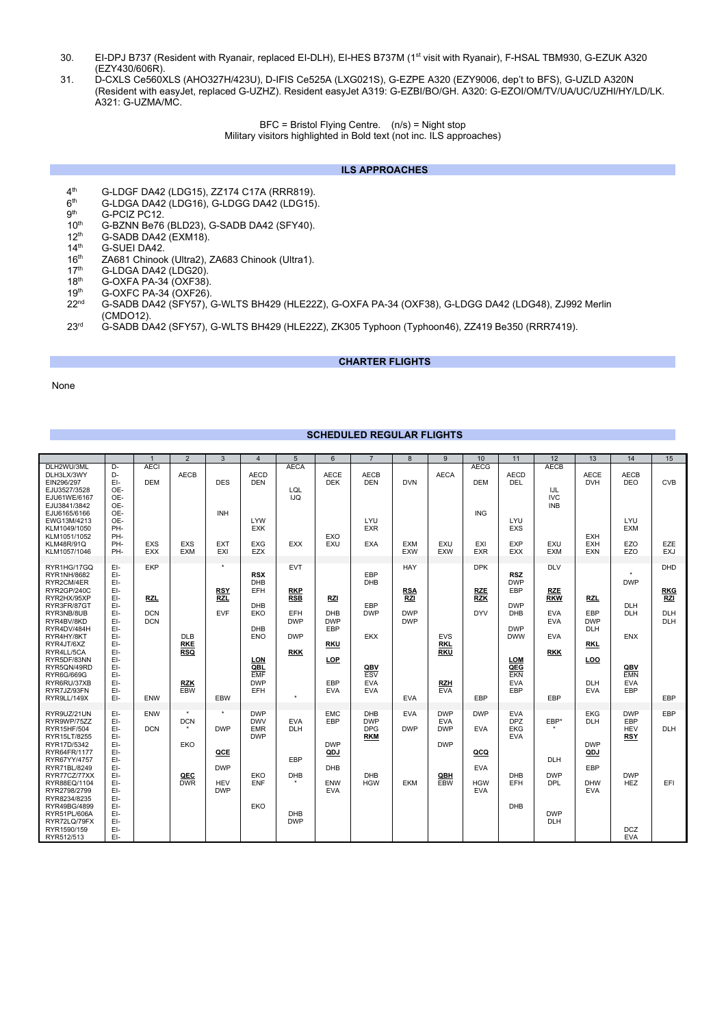- 30. EI-DPJ B737 (Resident with Ryanair, replaced EI-DLH), EI-HES B737M (1st visit with Ryanair), F-HSAL TBM930, G-EZUK A320 (EZY430/606R).
- 31. D-CXLS Ce560XLS (AHO327H/423U), D-IFIS Ce525A (LXG021S), G-EZPE A320 (EZY9006, dep't to BFS), G-UZLD A320N (Resident with easyJet, replaced G-UZHZ). Resident easyJet A319: G-EZBI/BO/GH. A320: G-EZOI/OM/TV/UA/UC/UZHI/HY/LD/LK. A321: G-UZMA/MC.

BFC = Bristol Flying Centre. (n/s) = Night stop

Military visitors highlighted in Bold text (not inc. ILS approaches)

### **ILS APPROACHES**

- 4<sup>th</sup> G-LDGF DA42 (LDG15), ZZ174 C17A (RRR819).<br>6<sup>th</sup> G-LDGA DA42 (LDG16), G-LDGG DA42 (LDG15)
- $6th$  G-LDGA DA42 (LDG16), G-LDGG DA42 (LDG15).<br> $9th$  G-PCIZ PC12.
- 
- $9<sup>th</sup>$  G-PCIZ PC12.<br>10<sup>th</sup> G-BZNN Be76 10<sup>th</sup> G-BZNN Be76 (BLD23), G-SADB DA42 (SFY40).<br>12<sup>th</sup> G-SADB DA42 (EXM18).
- $12^{th}$  G-SADB DA42 (EXM18).<br> $14^{th}$  G-SUEI DA42.
- $14<sup>th</sup>$  G-SUEI DA42.<br> $16<sup>th</sup>$  ZA681 Chinool
- 16<sup>th</sup> ZA681 Chinook (Ultra2), ZA683 Chinook (Ultra1).<br>17<sup>th</sup> G-LDGA DA42 (LDG20).
- $17<sup>th</sup>$  G-LDGA DA42 (LDG20).<br> $18<sup>th</sup>$  G-OXFA PA-34 (OXF38)
- 18<sup>th</sup> G-OXFA PA-34 (OXF38).
- 19<sup>th</sup> G-OXFC PA-34 (OXF26).
- 19<sup>th</sup> G-OXFC PA-34 (OXF26).<br>22<sup>nd</sup> G-SADB DA42 (SFY57), G-WLTS BH429 (HLE22Z), G-OXFA PA-34 (OXF38), G-LDGG DA42 (LDG48), ZJ992 Merlin (CMDO12).
- 23rd G-SADB DA42 (SFY57), G-WLTS BH429 (HLE22Z), ZK305 Typhoon (Typhoon46), ZZ419 Be350 (RRR7419).

# **CHARTER FLIGHTS**

### None

# **SCHEDULED REGULAR FLIGHTS**

|                                                                                                                             |                                                      | $\overline{1}$                         | 2                                      | 3                                             | $\overline{4}$                                       | 5                                             | 6                                                           | $\overline{7}$                                       | 8                                      | 9                                      | 10                                            | 11                                                   | 12                                                                 | 13                                                   | 14                                     | 15                                     |
|-----------------------------------------------------------------------------------------------------------------------------|------------------------------------------------------|----------------------------------------|----------------------------------------|-----------------------------------------------|------------------------------------------------------|-----------------------------------------------|-------------------------------------------------------------|------------------------------------------------------|----------------------------------------|----------------------------------------|-----------------------------------------------|------------------------------------------------------|--------------------------------------------------------------------|------------------------------------------------------|----------------------------------------|----------------------------------------|
| DLH2WU/3ML<br>DLH3LX/3WY<br>EIN296/297<br>EJU3527/3528<br>EJU61WE/6167<br>EJU3841/3842<br>EJU6165/6166<br>EWG13M/4213       | D-<br>D-<br>EI-<br>OE-<br>OE-<br>OE-<br>OE-<br>OE-   | <b>AECI</b><br><b>DEM</b>              | <b>AECB</b>                            | <b>DES</b><br>INH                             | <b>AECD</b><br><b>DEN</b><br>LYW                     | <b>AECA</b><br>LQL<br><b>IJQ</b>              | <b>AECE</b><br><b>DEK</b>                                   | <b>AECB</b><br><b>DEN</b><br>LYU                     | <b>DVN</b>                             | <b>AECA</b>                            | <b>AECG</b><br><b>DEM</b><br><b>ING</b>       | <b>AECD</b><br><b>DEL</b><br><b>LYU</b>              | <b>AECB</b><br>IJL<br><b>IVC</b><br><b>INB</b>                     | <b>AECE</b><br><b>DVH</b>                            | <b>AECB</b><br><b>DEO</b><br>LYU       | <b>CVB</b>                             |
| KLM1049/1050<br>KLM1051/1052<br><b>KLM48R/91Q</b><br>KLM1057/1046                                                           | PH-<br>PH-<br>PH-<br>PH-                             | <b>EXS</b><br><b>EXX</b>               | EXS<br><b>EXM</b>                      | <b>EXT</b><br>EXI                             | <b>EXK</b><br>EXG<br><b>EZX</b>                      | <b>EXX</b>                                    | EXO<br>EXU                                                  | <b>EXR</b><br><b>EXA</b>                             | <b>EXM</b><br><b>EXW</b>               | EXU<br><b>EXW</b>                      | EXI<br><b>EXR</b>                             | <b>EXS</b><br><b>EXP</b><br><b>EXX</b>               | EXU<br><b>EXM</b>                                                  | <b>EXH</b><br><b>EXH</b><br><b>EXN</b>               | <b>EXM</b><br>EZO<br>EZO               | EZE<br><b>EXJ</b>                      |
| RYR1HG/17GQ<br>RYR1NH/8682<br>RYR2CM/4ER<br>RYR2GP/240C                                                                     | EI-<br>EI-<br>EI-<br>EI-                             | <b>EKP</b>                             |                                        | ٠<br><b>RSY</b>                               | <b>RSX</b><br>DHB<br>EFH                             | <b>EVT</b><br><b>RKP</b><br><b>RSB</b>        |                                                             | EBP<br><b>DHB</b>                                    | <b>HAY</b><br><b>RSA</b>               |                                        | <b>DPK</b><br><b>RZE</b>                      | <b>RSZ</b><br><b>DWP</b><br>EBP                      | <b>DLV</b><br><b>RZE</b>                                           |                                                      | ٠<br><b>DWP</b>                        | DHD<br><b>RKG</b>                      |
| RYR2HX/95XP<br>RYR3FR/87GT<br>RYR3NB/8UB<br>RYR4BV/8KD<br>RYR4DV/484H<br>RYR4HY/8KT<br>RYR4JT/6XZ<br>RYR4LL/5CA             | EI-<br>EI-<br>EI-<br>EI-<br>EI-<br>EI-<br>EI-<br>EI- | <b>RZL</b><br><b>DCN</b><br><b>DCN</b> | <b>DLB</b><br><b>RKE</b><br><b>RSQ</b> | <b>RZL</b><br><b>EVF</b>                      | <b>DHB</b><br>EKO<br><b>DHB</b><br><b>ENO</b>        | EFH<br><b>DWP</b><br><b>DWP</b><br><b>RKK</b> | <b>RZI</b><br>DHB<br><b>DWP</b><br>EBP<br><b>RKU</b>        | EBP<br><b>DWP</b><br><b>EKX</b>                      | <b>RZI</b><br><b>DWP</b><br><b>DWP</b> | <b>EVS</b><br><b>RKL</b><br><b>RKU</b> | <b>RZK</b><br><b>DYV</b>                      | <b>DWP</b><br><b>DHB</b><br><b>DWP</b><br><b>DWW</b> | <b>RKW</b><br><b>EVA</b><br><b>EVA</b><br><b>EVA</b><br><b>RKK</b> | RZL<br>EBP<br><b>DWP</b><br><b>DLH</b><br><b>RKL</b> | DLH<br>DLH<br><b>ENX</b>               | <b>RZI</b><br><b>DLH</b><br><b>DLH</b> |
| RYR5DF/83NN<br>RYR5QN/49RD<br>RYR6G/669G<br>RYR6RU/37XB<br>RYR7JZ/93FN<br>RYR9LL/149X                                       | EI-<br>EI-<br>EI-<br>EI-<br>EI-<br>EI-               | ENW                                    | <b>RZK</b><br><b>EBW</b>               | EBW                                           | LON<br>QBL<br><b>EMF</b><br><b>DWP</b><br>EFH        | $\star$                                       | LOP<br>EBP<br><b>EVA</b>                                    | QBV<br><b>ESV</b><br><b>EVA</b><br><b>EVA</b>        | <b>EVA</b>                             | <b>RZH</b><br><b>EVA</b>               | EBP                                           | LOM<br>QEG<br><b>EKN</b><br><b>EVA</b><br>EBP        | EBP                                                                | LOO<br><b>DLH</b><br><b>EVA</b>                      | QBV<br><b>EMN</b><br><b>EVA</b><br>EBP | EBP                                    |
| RYR9UZ/21UN<br>RYR9WP/75ZZ<br>RYR15HF/504<br>RYR15LT/8255                                                                   | EI-<br>EI-<br>EI-<br>EI-                             | ENW<br><b>DCN</b>                      | $\star$<br><b>DCN</b>                  | $\star$<br><b>DWP</b>                         | <b>DWP</b><br><b>DWV</b><br><b>EMR</b><br><b>DWP</b> | <b>EVA</b><br><b>DLH</b>                      | <b>EMC</b><br>EBP                                           | <b>DHB</b><br><b>DWP</b><br><b>DPG</b><br><b>RKM</b> | <b>EVA</b><br><b>DWP</b>               | <b>DWP</b><br><b>EVA</b><br><b>DWP</b> | <b>DWP</b><br><b>EVA</b>                      | <b>EVA</b><br><b>DPZ</b><br><b>EKG</b><br><b>EVA</b> | EBP*                                                               | <b>EKG</b><br><b>DLH</b>                             | <b>DWP</b><br>EBP<br><b>HEV</b><br>RSY | EBP<br><b>DLH</b>                      |
| RYR17D/5342<br>RYR64FR/1177<br>RYR67YY/4757<br>RYR71BL/8249<br>RYR77CZ/77XX<br>RYR88EQ/1104<br>RYR2798/2799<br>RYR8234/8235 | EI-<br>EI-<br>EI-<br>EI-<br>EI-<br>EI-<br>EI-<br>EI- |                                        | EKO<br>QEC<br><b>DWR</b>               | QCE<br><b>DWP</b><br><b>HEV</b><br><b>DWP</b> | EKO<br><b>ENF</b>                                    | EBP<br>DHB                                    | <b>DWP</b><br>QDJ<br><b>DHB</b><br><b>ENW</b><br><b>EVA</b> | <b>DHB</b><br><b>HGW</b>                             | <b>EKM</b>                             | <b>DWP</b><br>QBH<br><b>EBW</b>        | QCQ<br><b>EVA</b><br><b>HGW</b><br><b>EVA</b> | <b>DHB</b><br>EFH                                    | <b>DLH</b><br><b>DWP</b><br><b>DPL</b>                             | <b>DWP</b><br>QDJ<br>EBP<br><b>DHW</b><br><b>EVA</b> | <b>DWP</b><br><b>HEZ</b>               | EFI                                    |
| RYR49BG/4899<br>RYR51PL/606A<br>RYR72LQ/79FX<br>RYR1590/159<br>RYR512/513                                                   | EI-<br>EI-<br>EI-<br>EI-<br>EI-                      |                                        |                                        |                                               | EKO                                                  | <b>DHB</b><br><b>DWP</b>                      |                                                             |                                                      |                                        |                                        |                                               | <b>DHB</b>                                           | <b>DWP</b><br><b>DLH</b>                                           |                                                      | <b>DCZ</b><br><b>EVA</b>               |                                        |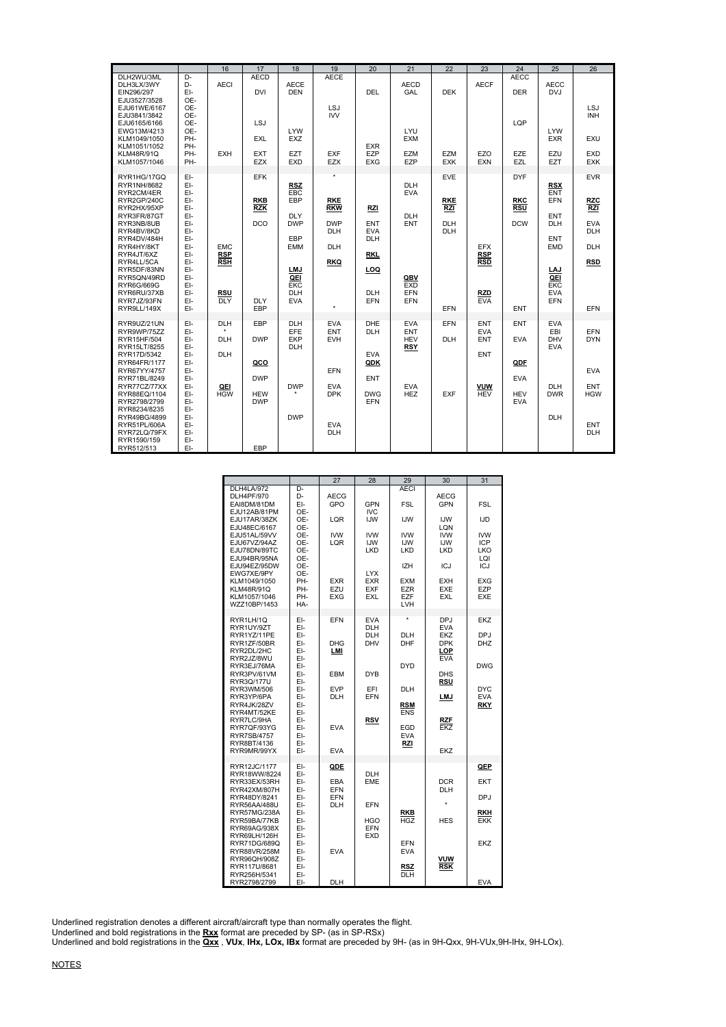|                                                                                             |                                 | 16                       | 17                                     | 18                                            | 19                       | 20                                     | 21                              | 22                       | 23                            | 24                                     | 25                              | 26                              |
|---------------------------------------------------------------------------------------------|---------------------------------|--------------------------|----------------------------------------|-----------------------------------------------|--------------------------|----------------------------------------|---------------------------------|--------------------------|-------------------------------|----------------------------------------|---------------------------------|---------------------------------|
| DLH2WU/3ML<br>DLH3LX/3WY<br>EIN296/297                                                      | D-<br>D-<br>EI-<br>OE-          | <b>AECI</b>              | <b>AECD</b><br><b>DVI</b>              | <b>AECE</b><br><b>DEN</b>                     | <b>AECE</b>              | DEL                                    | <b>AECD</b><br>GAL              | <b>DEK</b>               | <b>AECF</b>                   | <b>AECC</b><br><b>DER</b>              | <b>AECC</b><br><b>DVJ</b>       |                                 |
| EJU3527/3528<br>EJU61WE/6167<br>EJU3841/3842<br>EJU6165/6166<br>EWG13M/4213<br>KLM1049/1050 | OE-<br>OE-<br>OE-<br>OE-<br>PH- |                          | <b>LSJ</b><br><b>EXL</b>               | <b>LYW</b><br><b>EXZ</b>                      | <b>LSJ</b><br><b>IVV</b> |                                        | LYU.<br><b>EXM</b>              |                          |                               | LQP                                    | <b>LYW</b><br><b>EXR</b>        | <b>LSJ</b><br><b>INH</b><br>EXU |
| KLM1051/1052<br><b>KLM48R/91Q</b><br>KLM1057/1046                                           | PH-<br>PH-<br>PH-               | <b>EXH</b>               | <b>EXT</b><br><b>EZX</b>               | <b>EZT</b><br><b>EXD</b>                      | <b>EXF</b><br><b>EZX</b> | <b>EXR</b><br>EZP<br><b>EXG</b>        | <b>EZM</b><br><b>EZP</b>        | <b>EZM</b><br><b>EXK</b> | EZ <sub>O</sub><br><b>EXN</b> | <b>EZE</b><br>EZL                      | EZU<br><b>EZT</b>               | <b>EXD</b><br><b>EXK</b>        |
| RYR1HG/17GQ<br>RYR1NH/8682<br>RYR2CM/4ER                                                    | EI-<br>EI-<br>EI-               |                          | <b>EFK</b>                             | <b>RSZ</b><br><b>EBC</b>                      | $\star$                  |                                        | <b>DLH</b><br><b>EVA</b>        | <b>EVE</b>               |                               | <b>DYF</b>                             | <b>RSX</b><br><b>ENT</b>        | <b>EVR</b>                      |
| RYR2GP/240C<br>RYR2HX/95XP<br>RYR3FR/87GT                                                   | EI-<br>EI-<br>EI-               |                          | <b>RKB</b><br><b>RZK</b>               | EBP<br><b>DLY</b>                             | <b>RKE</b><br><b>RKW</b> | <b>RZI</b>                             | <b>DLH</b>                      | <b>RKE</b><br><b>RZI</b> |                               | <b>RKC</b><br><b>RSU</b>               | <b>EFN</b><br><b>ENT</b>        | <b>RZC</b><br><b>RZI</b>        |
| RYR3NB/8UB<br>RYR4BV/8KD                                                                    | EI-<br>EI-<br>EI-               |                          | <b>DCO</b>                             | <b>DWP</b><br>EBP                             | <b>DWP</b><br><b>DLH</b> | <b>ENT</b><br><b>EVA</b><br><b>DLH</b> | <b>ENT</b>                      | <b>DLH</b><br><b>DLH</b> |                               | <b>DCW</b>                             | <b>DLH</b><br><b>ENT</b>        | <b>EVA</b><br><b>DLH</b>        |
| RYR4DV/484H<br>RYR4HY/8KT<br>RYR4JT/6XZ                                                     | EI-<br>EI-                      | <b>EMC</b><br><b>RSP</b> |                                        | <b>EMM</b>                                    | <b>DLH</b>               | <b>RKL</b>                             |                                 |                          | <b>EFX</b><br><b>RSP</b>      |                                        | <b>EMD</b>                      | <b>DLH</b>                      |
| RYR4LL/5CA<br>RYR5DF/83NN<br>RYR5QN/49RD<br>RYR6G/669G<br>RYR6RU/37XB                       | EI-<br>EI-<br>EI-<br>EI-<br>EI- | <b>RSH</b><br>RSU        |                                        | <b>LMJ</b><br>QEI<br><b>EKC</b><br><b>DLH</b> | <b>RKQ</b>               | LOQ<br><b>DLH</b>                      | QBV<br><b>EXD</b><br><b>EFN</b> |                          | <b>RSD</b><br><b>RZD</b>      |                                        | LAJ<br>QEI<br>EKC<br><b>EVA</b> | <b>RSD</b>                      |
| RYR7JZ/93FN<br>RYR9LL/149X                                                                  | EI-<br>EI-                      | <b>DLY</b>               | <b>DLY</b><br>EBP                      | <b>EVA</b>                                    | ٠                        | EFN                                    | EFN                             | <b>EFN</b>               | <b>EVA</b>                    | <b>ENT</b>                             | <b>EFN</b>                      | <b>EFN</b>                      |
| RYR9UZ/21UN<br>RYR9WP/75ZZ                                                                  | EI-<br>EI-                      | <b>DLH</b>               | EBP                                    | <b>DLH</b><br>EFE                             | <b>EVA</b><br><b>ENT</b> | <b>DHE</b><br><b>DLH</b>               | <b>EVA</b><br><b>ENT</b>        | <b>EFN</b>               | <b>ENT</b><br><b>EVA</b>      | <b>ENT</b>                             | <b>EVA</b><br>EBI               | <b>EFN</b>                      |
| RYR15HF/504<br>RYR15LT/8255<br>RYR17D/5342                                                  | EI-<br>EI-<br>EI-               | <b>DLH</b><br><b>DLH</b> | <b>DWP</b>                             | <b>EKP</b><br><b>DLH</b>                      | <b>EVH</b>               | <b>EVA</b>                             | <b>HEV</b><br><b>RSY</b>        | <b>DLH</b>               | <b>ENT</b><br><b>ENT</b>      | <b>EVA</b>                             | <b>DHV</b><br><b>EVA</b>        | <b>DYN</b>                      |
| RYR64FR/1177<br>RYR67YY/4757                                                                | EI-<br>EI-                      |                          | QCO                                    |                                               | <b>EFN</b>               | QDK                                    |                                 |                          |                               | QDF                                    |                                 | <b>EVA</b>                      |
| RYR71BL/8249<br>RYR77CZ/77XX<br>RYR88EQ/1104<br>RYR2798/2799                                | EI-<br>EI-<br>EI-<br>EI-        | QEI<br><b>HGW</b>        | <b>DWP</b><br><b>HEW</b><br><b>DWP</b> | <b>DWP</b>                                    | <b>EVA</b><br><b>DPK</b> | <b>ENT</b><br><b>DWG</b><br><b>EFN</b> | <b>EVA</b><br><b>HEZ</b>        | <b>EXF</b>               | <b>VUW</b><br><b>HEV</b>      | <b>EVA</b><br><b>HEV</b><br><b>EVA</b> | <b>DLH</b><br><b>DWR</b>        | <b>ENT</b><br><b>HGW</b>        |
| RYR8234/8235<br>RYR49BG/4899<br>RYR51PL/606A<br>RYR72LQ/79FX<br>RYR1590/159                 | EI-<br>EI-<br>EI-<br>EI-<br>EI- |                          |                                        | <b>DWP</b>                                    | <b>EVA</b><br><b>DLH</b> |                                        |                                 |                          |                               |                                        | <b>DLH</b>                      | <b>ENT</b><br><b>DLH</b>        |
| RYR512/513                                                                                  | EI-                             |                          | EBP                                    |                                               |                          |                                        |                                 |                          |                               |                                        |                                 |                                 |

|                                                                      |                                 | 27                              | 28                                     | 29                                     | 30                                                   | 31                                     |
|----------------------------------------------------------------------|---------------------------------|---------------------------------|----------------------------------------|----------------------------------------|------------------------------------------------------|----------------------------------------|
| DLH4LA/972<br>DLH4PF/970<br>EAI8DM/81DM<br>EJU12AB/81PM              | D-<br>D-<br>EI-<br>OE-          | <b>AECG</b><br>GPO              | <b>GPN</b><br><b>IVC</b>               | <b>AECI</b><br><b>FSL</b>              | <b>AECG</b><br><b>GPN</b>                            | <b>FSL</b>                             |
| EJU17AR/38ZK<br>EJU48EC/6167                                         | OE-<br>OE-                      | LQR                             | <b>IJW</b>                             | <b>IJW</b>                             | <b>IJW</b><br>LQN                                    | <b>IJD</b>                             |
| EJU51AL/59VV<br>EJU67VZ/94AZ<br>EJU78DN/89TC<br>EJU94BR/95NA         | OE-<br>OE-<br>OE-<br>OE-        | <b>IVW</b><br>LQR               | <b>IVW</b><br><b>IJW</b><br>LKD        | <b>IVW</b><br><b>IJW</b><br>LKD        | <b>IVW</b><br><b>IJW</b><br>LKD                      | <b>IVW</b><br><b>ICP</b><br>LKO<br>LQI |
| EJU94EZ/95DW<br>EWG7XE/9PY                                           | OE-<br>OE-                      |                                 | <b>LYX</b>                             | IZH                                    | ICJ                                                  | <b>ICJ</b>                             |
| KLM1049/1050<br>KLM48R/91Q<br>KLM1057/1046<br>WZZ10BP/1453           | PH-<br>PH-<br>PH-<br>HA-        | <b>EXR</b><br>EZU<br><b>EXG</b> | <b>EXR</b><br><b>EXF</b><br>EXL        | <b>EXM</b><br><b>EZR</b><br>EZF<br>LVH | <b>EXH</b><br><b>EXE</b><br><b>EXL</b>               | <b>EXG</b><br>EZP<br><b>EXE</b>        |
| RYR1LH/1Q                                                            | EI-                             | EFN                             | <b>EVA</b>                             | ×                                      | <b>DPJ</b>                                           | <b>EKZ</b>                             |
| RYR1UY/9ZT<br>RYR1YZ/11PE<br>RYR1ZF/50BR<br>RYR2DL/2HC<br>RYR2JZ/8WU | EI-<br>EI-<br>EI-<br>EI-<br>EI- | <b>DHG</b><br>LMI               | <b>DLH</b><br><b>DLH</b><br><b>DHV</b> | <b>DLH</b><br>DHF                      | <b>EVA</b><br>EKZ<br><b>DPK</b><br>LOP<br><b>EVA</b> | DPJ<br>DHZ                             |
| RYR3EJ/76MA<br>RYR3PV/61VM                                           | EI-<br>EI-                      | EBM                             | <b>DYB</b>                             | <b>DYD</b>                             | <b>DHS</b>                                           | <b>DWG</b>                             |
| RYR3Q/177U<br>RYR3WM/506<br>RYR3YP/6PA                               | EI-<br>EI-<br>EI-               | <b>EVP</b><br><b>DLH</b>        | EFI<br>EFN                             | <b>DLH</b>                             | RSU<br><b>LMJ</b>                                    | <b>DYC</b><br><b>EVA</b>               |
| RYR4JK/28ZV<br>RYR4MT/52KE<br>RYR7LC/9HA                             | EI-<br>EI-<br>EI-               |                                 |                                        | <b>RSM</b><br><b>ENS</b>               |                                                      | RKY                                    |
| RYR7QF/93YG<br><b>RYR7SB/4757</b><br>RYR8BT/4136                     | EI-<br>EI-<br>EI-               | <b>EVA</b>                      | <b>RSV</b>                             | EGD<br><b>EVA</b><br><b>RZI</b>        | <b>RZF</b><br><b>EKZ</b>                             |                                        |
| RYR9MR/99YX                                                          | EI-                             | <b>EVA</b>                      |                                        |                                        | EKZ                                                  |                                        |
| RYR12JC/1177                                                         | EI-                             | QDE                             | <b>DLH</b>                             |                                        |                                                      | QEP                                    |
| RYR18WW/8224<br>RYR33EX/53RH<br>RYR42XM/807H                         | EI-<br>EI-<br>EI-               | <b>EBA</b><br>EFN               | <b>EME</b>                             |                                        | <b>DCR</b><br><b>DLH</b>                             | <b>EKT</b>                             |
| RYR48DY/8241<br>RYR56AA/488U                                         | EI-<br>EI-                      | EFN<br><b>DLH</b>               | EFN                                    |                                        |                                                      | DPJ                                    |
| RYR57MG/238A<br>RYR59BA/77KB<br>RYR69AG/938X                         | EI-<br>EI-<br>EI-               |                                 | HGO<br><b>EFN</b>                      | <b>RKB</b><br><b>HGZ</b>               | <b>HES</b>                                           | RKH<br><b>EKK</b>                      |
| RYR69LH/126H<br><b>RYR71DG/689Q</b><br>RYR88VR/258M                  | EI-<br>EI-<br>EI-               | <b>EVA</b>                      | <b>EXD</b>                             | EFN<br><b>EVA</b>                      |                                                      | EKZ                                    |
| RYR96QH/908Z<br>RYR117U/8681<br>RYR256H/5341                         | EI-<br>EI-<br>EI-               |                                 |                                        | <b>RSZ</b><br><b>DLH</b>               | VUW<br><b>RSK</b>                                    |                                        |
| RYR2798/2799                                                         | EI-                             | <b>DLH</b>                      |                                        |                                        |                                                      | <b>EVA</b>                             |

Underlined registration denotes a different aircraft/aircraft type than normally operates the flight.

Underlined and bold registrations in the **Rxx** format are preceded by SP- (as in SP-RSx)

Underlined and bold registrations in the **Qxx** , **VUx**, **IHx, LOx, IBx** format are preceded by 9H- (as in 9H-Qxx, 9H-VUx,9H-IHx, 9H-LOx).